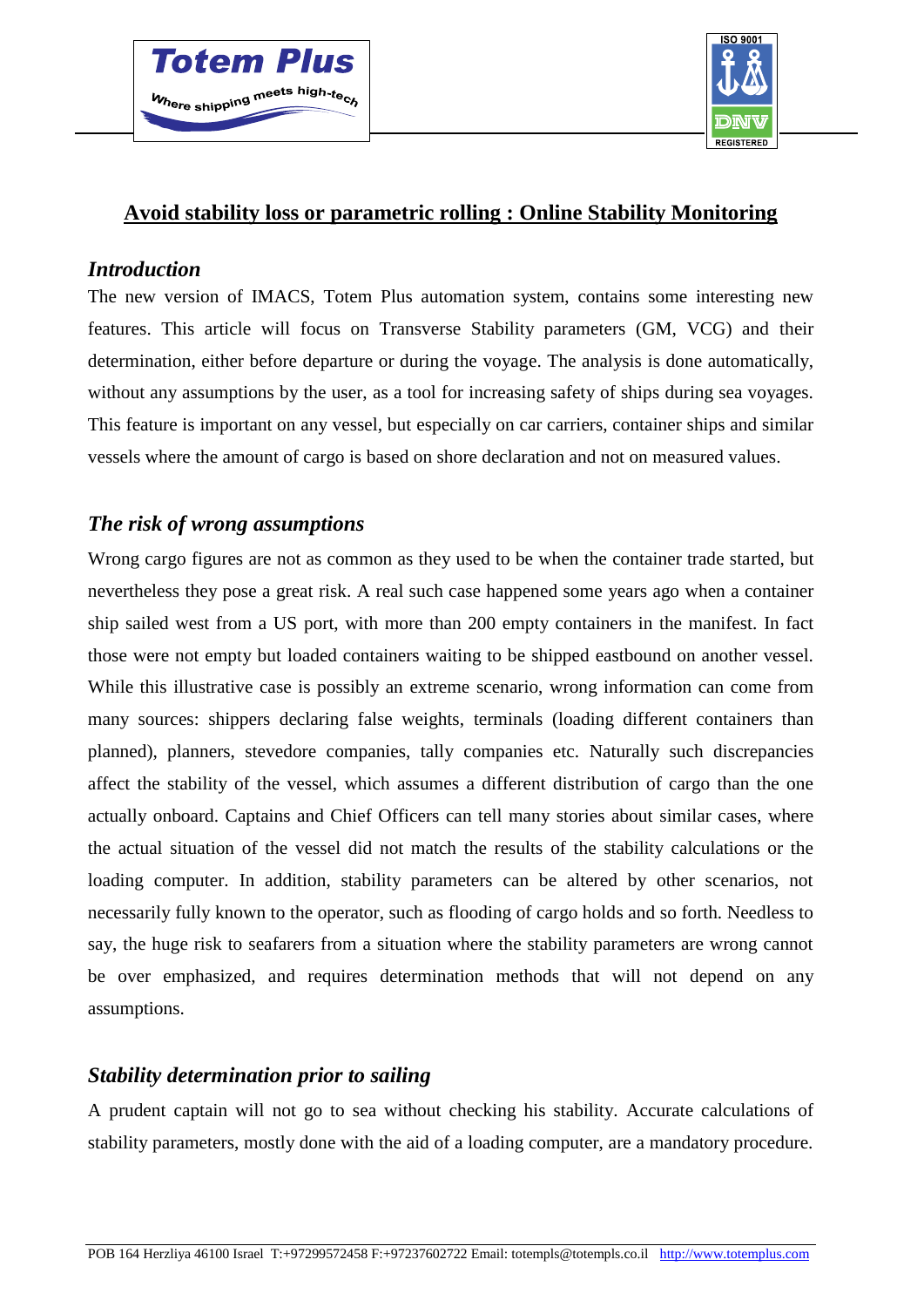



### **Avoid stability loss or parametric rolling : Online Stability Monitoring**

#### *Introduction*

The new version of IMACS, Totem Plus automation system, contains some interesting new features. This article will focus on Transverse Stability parameters (GM, VCG) and their determination, either before departure or during the voyage. The analysis is done automatically, without any assumptions by the user, as a tool for increasing safety of ships during sea voyages. This feature is important on any vessel, but especially on car carriers, container ships and similar vessels where the amount of cargo is based on shore declaration and not on measured values.

# *The risk of wrong assumptions*

Wrong cargo figures are not as common as they used to be when the container trade started, but nevertheless they pose a great risk. A real such case happened some years ago when a container ship sailed west from a US port, with more than 200 empty containers in the manifest. In fact those were not empty but loaded containers waiting to be shipped eastbound on another vessel. While this illustrative case is possibly an extreme scenario, wrong information can come from many sources: shippers declaring false weights, terminals (loading different containers than planned), planners, stevedore companies, tally companies etc. Naturally such discrepancies affect the stability of the vessel, which assumes a different distribution of cargo than the one actually onboard. Captains and Chief Officers can tell many stories about similar cases, where the actual situation of the vessel did not match the results of the stability calculations or the loading computer. In addition, stability parameters can be altered by other scenarios, not necessarily fully known to the operator, such as flooding of cargo holds and so forth. Needless to say, the huge risk to seafarers from a situation where the stability parameters are wrong cannot be over emphasized, and requires determination methods that will not depend on any assumptions.

#### *Stability determination prior to sailing*

A prudent captain will not go to sea without checking his stability. Accurate calculations of stability parameters, mostly done with the aid of a loading computer, are a mandatory procedure.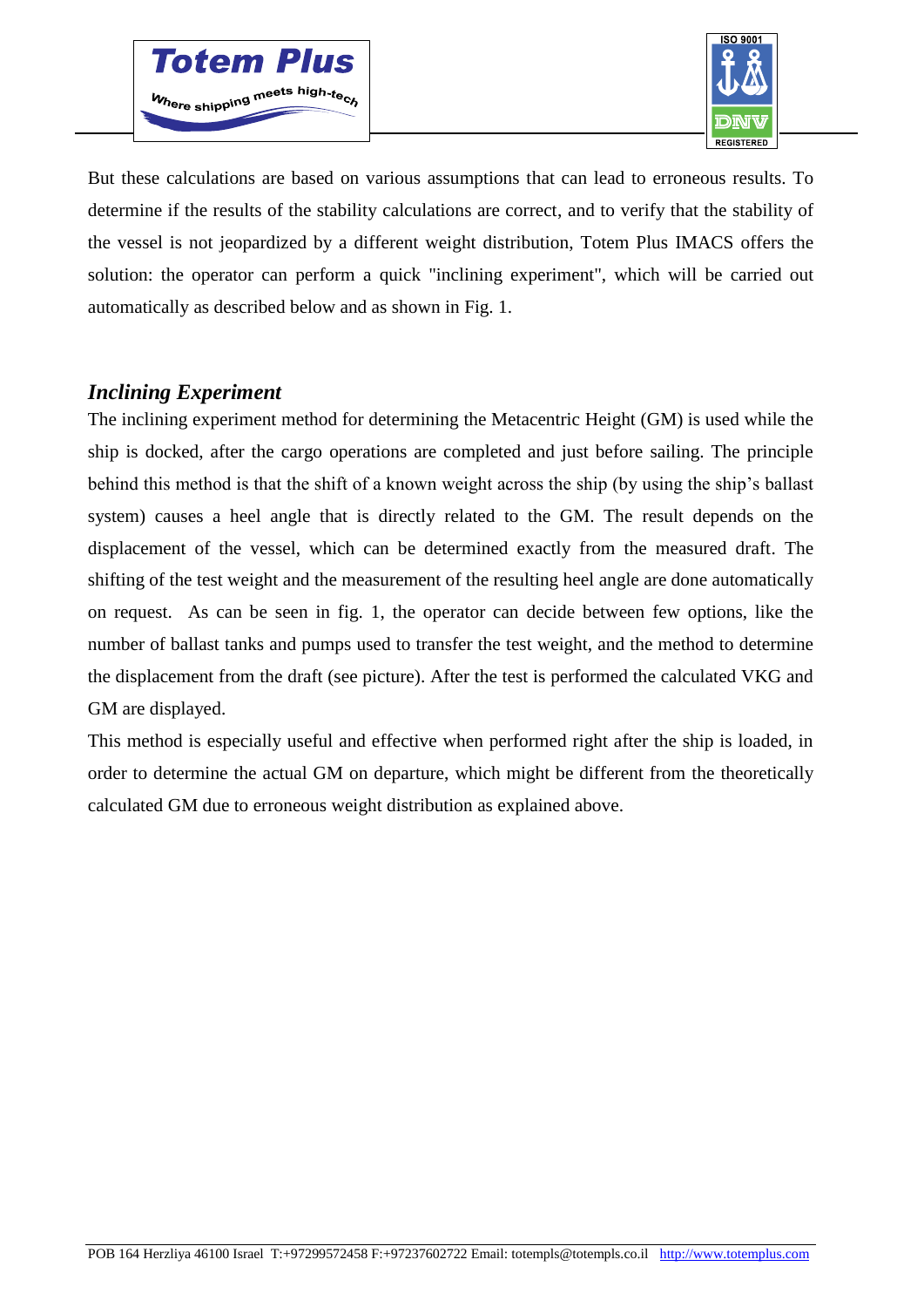



But these calculations are based on various assumptions that can lead to erroneous results. To determine if the results of the stability calculations are correct, and to verify that the stability of the vessel is not jeopardized by a different weight distribution, Totem Plus IMACS offers the solution: the operator can perform a quick "inclining experiment", which will be carried out automatically as described below and as shown in Fig. 1.

### *Inclining Experiment*

The inclining experiment method for determining the Metacentric Height (GM) is used while the ship is docked, after the cargo operations are completed and just before sailing. The principle behind this method is that the shift of a known weight across the ship (by using the ship's ballast system) causes a heel angle that is directly related to the GM. The result depends on the displacement of the vessel, which can be determined exactly from the measured draft. The shifting of the test weight and the measurement of the resulting heel angle are done automatically on request. As can be seen in fig. 1, the operator can decide between few options, like the number of ballast tanks and pumps used to transfer the test weight, and the method to determine the displacement from the draft (see picture). After the test is performed the calculated VKG and GM are displayed.

This method is especially useful and effective when performed right after the ship is loaded, in order to determine the actual GM on departure, which might be different from the theoretically calculated GM due to erroneous weight distribution as explained above.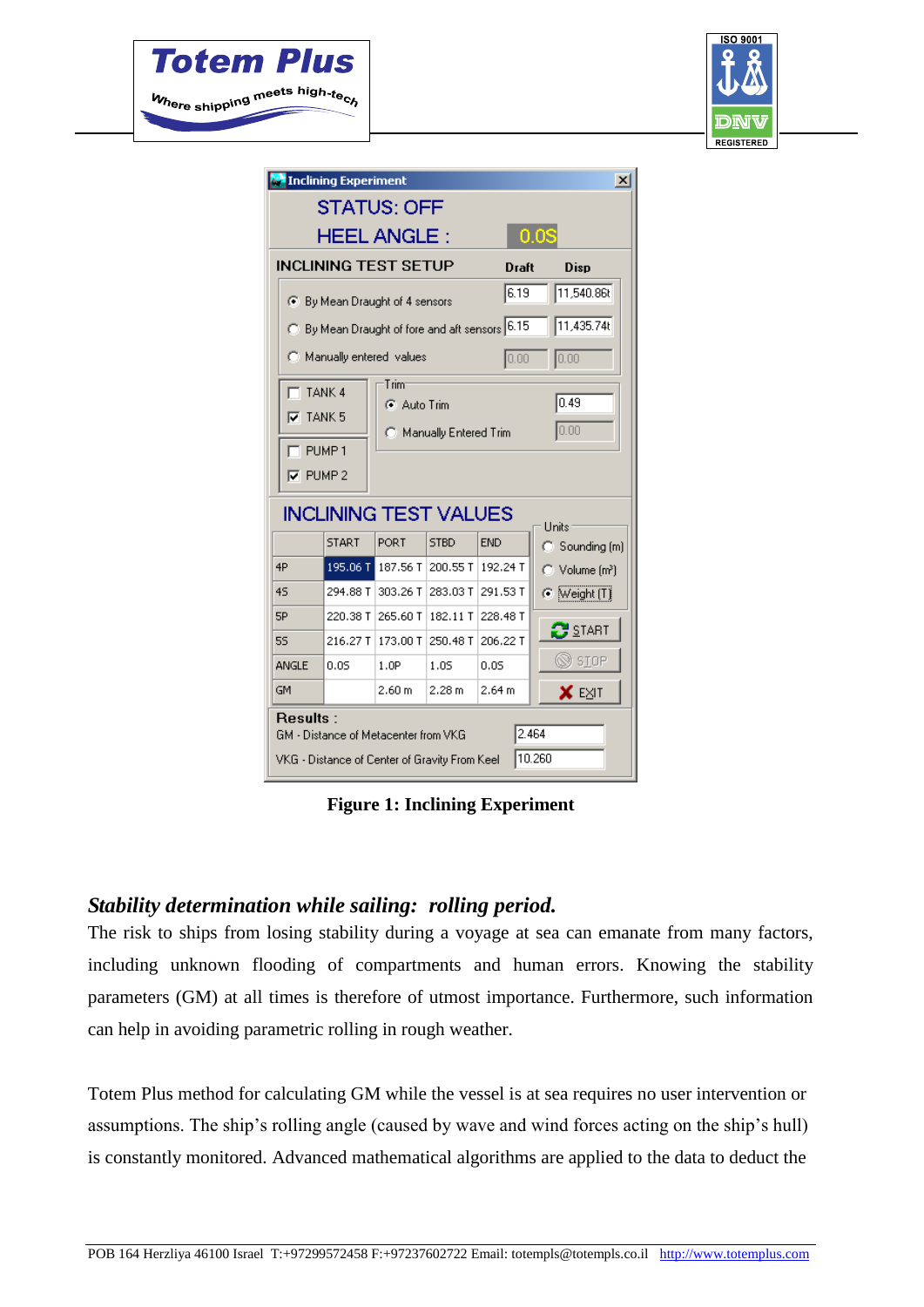



| <b>E</b> Inclining Experiment<br>$\vert x \vert$                                                                            |              |          |             |            |                                  |
|-----------------------------------------------------------------------------------------------------------------------------|--------------|----------|-------------|------------|----------------------------------|
| <b>STATUS: OFF</b>                                                                                                          |              |          |             |            |                                  |
| <b>HEEL ANGLE:</b><br>$0.0\mathrm{S}$                                                                                       |              |          |             |            |                                  |
| <b>INCLINING TEST SETUP</b>                                                                                                 |              |          |             | Draft      | Diso                             |
| 6 By Mean Draught of 4 sensors                                                                                              |              |          |             | 6.19       | 11,540.86t                       |
| 11,435.74t<br>C By Mean Draught of fore and aft sensors 6.15                                                                |              |          |             |            |                                  |
| C Manually entered values                                                                                                   |              |          |             | 0.00       | 0.00                             |
| $\nabla$ TANK 5<br>0.00<br>C Manually Entered Trim<br>$\top$ PUMP 1<br>$\nabla$ PUMP 2<br><b>INCLINING TEST VALUES</b>      |              |          |             |            |                                  |
|                                                                                                                             | <b>START</b> | PORT     | <b>STBD</b> | <b>END</b> | Units<br>$\bigcirc$ Sounding (m) |
| 4P                                                                                                                          | 195.06 T     | 187.56 T | 200.55 T    | 192.24 T   | ◯ Volume (m <sup>3</sup> )       |
| 45                                                                                                                          | 294.88 T     | 303.26 T | 283.03 T    | 291.53 T   | $\odot$ [Weight $(T)$ ]          |
| 5P                                                                                                                          | 220.38 T     | 265.60 T | 182.11 T    | 228.48 T   | $3s$ start                       |
| 55                                                                                                                          | 216.27 T     | 173.00 T | 250.48 T    | 206.22 T   |                                  |
| <b>ANGLE</b>                                                                                                                | 0.05         | 1.0P     | 1.05        | 0.05       | $\otimes$ siop                   |
| GM                                                                                                                          |              | 2.60 m   | 2.28 m      | 2.64 m     | X EXIT                           |
| <b>Results:</b><br>2.464<br>GM - Distance of Metacenter from VKG<br>10.260<br>VKG - Distance of Center of Gravity From Keel |              |          |             |            |                                  |

**Figure 1: Inclining Experiment**

# *Stability determination while sailing: rolling period.*

The risk to ships from losing stability during a voyage at sea can emanate from many factors, including unknown flooding of compartments and human errors. Knowing the stability parameters (GM) at all times is therefore of utmost importance. Furthermore, such information can help in avoiding parametric rolling in rough weather.

Totem Plus method for calculating GM while the vessel is at sea requires no user intervention or assumptions. The ship's rolling angle (caused by wave and wind forces acting on the ship's hull) is constantly monitored. Advanced mathematical algorithms are applied to the data to deduct the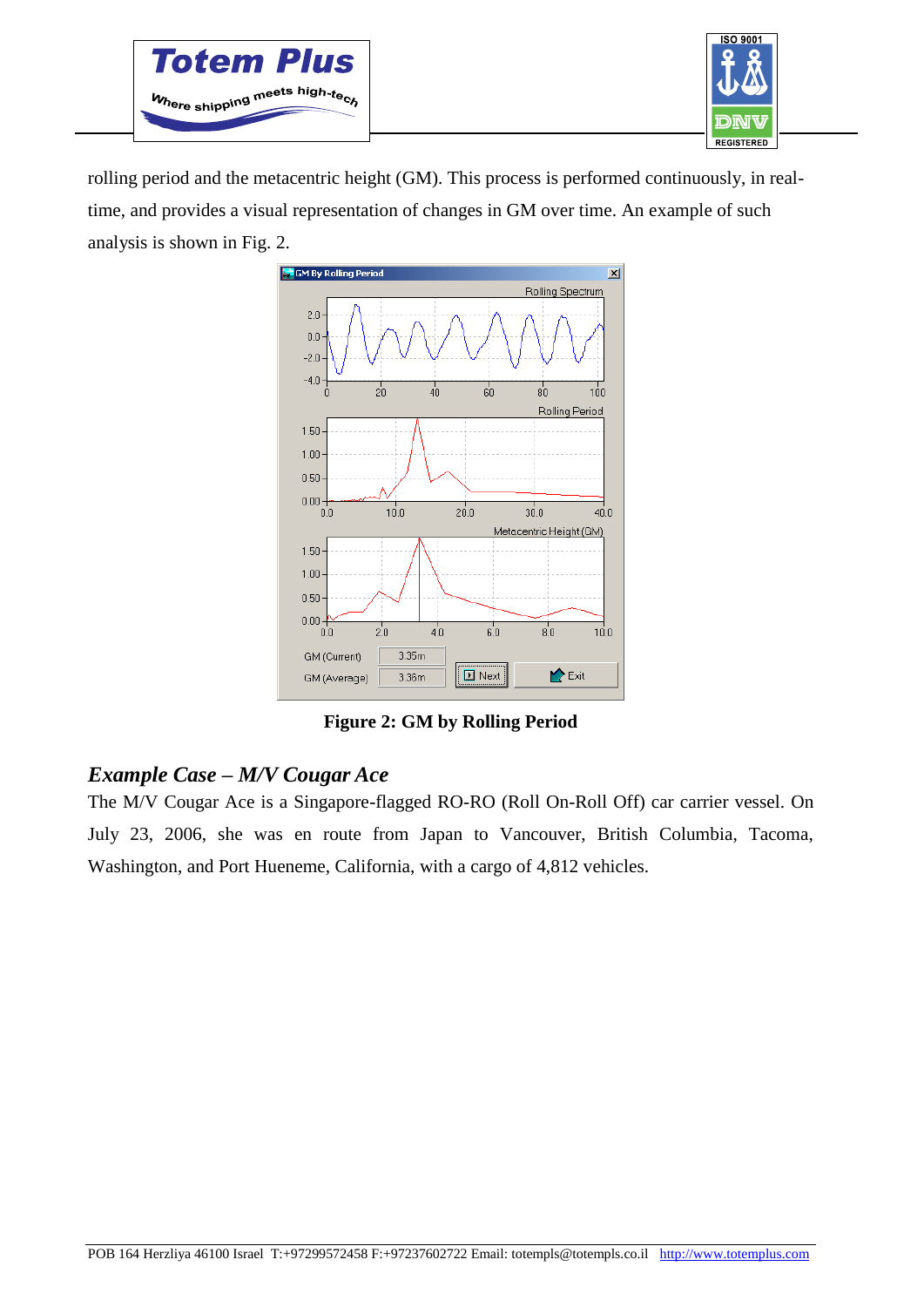



rolling period and the metacentric height (GM). This process is performed continuously, in realtime, and provides a visual representation of changes in GM over time. An example of such analysis is shown in Fig. 2.



**Figure 2: GM by Rolling Period**

# *Example Case – M/V Cougar Ace*

The M/V Cougar Ace is a Singapore-flagged RO-RO (Roll On-Roll Off) car carrier vessel. On July 23, 2006, she was en route from Japan to Vancouver, British Columbia, Tacoma, Washington, and Port Hueneme, California, with a cargo of 4,812 vehicles.